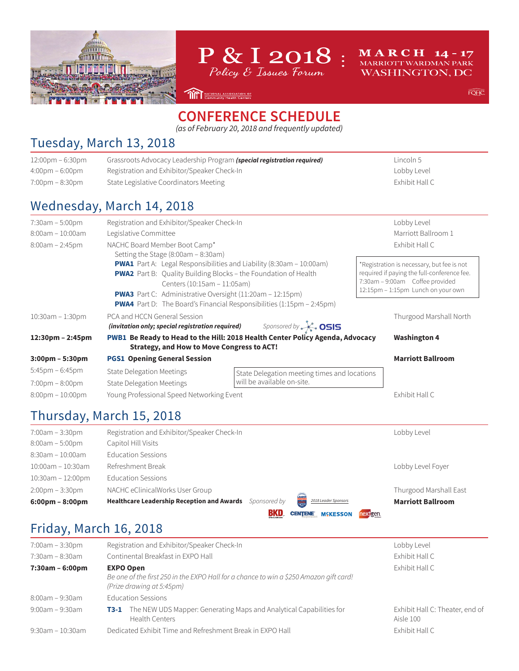



**MARCH 14-17** MARRIOTT WARDMAN PARK **WASHINGTON, DC** 

 $FOHC$ 

#### **CONFERENCE SCHEDULE**

**THE MATIONAL ASSOCIATION OF** 

*(as of February 20, 2018 and frequently updated)*

#### Tuesday, March 13, 2018

| Grassroots Advocacy Leadership Program (special registration required)                                                                                                                                                                                                                                                                     | Lincoln 5                                                                                                                                                          |  |
|--------------------------------------------------------------------------------------------------------------------------------------------------------------------------------------------------------------------------------------------------------------------------------------------------------------------------------------------|--------------------------------------------------------------------------------------------------------------------------------------------------------------------|--|
| Registration and Exhibitor/Speaker Check-In                                                                                                                                                                                                                                                                                                | Lobby Level                                                                                                                                                        |  |
| State Legislative Coordinators Meeting                                                                                                                                                                                                                                                                                                     | Exhibit Hall C                                                                                                                                                     |  |
| Wednesday, March 14, 2018                                                                                                                                                                                                                                                                                                                  |                                                                                                                                                                    |  |
| Registration and Exhibitor/Speaker Check-In                                                                                                                                                                                                                                                                                                | Lobby Level<br>Marriott Ballroom 1                                                                                                                                 |  |
| Legislative Committee                                                                                                                                                                                                                                                                                                                      |                                                                                                                                                                    |  |
| NACHC Board Member Boot Camp*<br>Setting the Stage (8:00am - 8:30am)                                                                                                                                                                                                                                                                       | Exhibit Hall C                                                                                                                                                     |  |
| <b>PWA1</b> Part A: Legal Responsibilities and Liability (8:30am - 10:00am)<br><b>PWA2</b> Part B: Quality Building Blocks - the Foundation of Health<br>Centers (10:15am - 11:05am)<br><b>PWA3</b> Part C: Administrative Oversight (11:20am - 12:15pm)<br><b>PWA4</b> Part D: The Board's Financial Responsibilities $(1:15pm - 2:45pm)$ | *Registration is necessary, but fee is not<br>required if paying the full-conference fee.<br>7:30am - 9:00am Coffee provided<br>12:15pm - 1:15pm Lunch on your own |  |
| PCA and HCCN General Session<br>(invitation only; special registration required) Sponsored by $\sim$ 0515                                                                                                                                                                                                                                  | Thurgood Marshall North                                                                                                                                            |  |
| <b>Strategy, and How to Move Congress to ACT!</b>                                                                                                                                                                                                                                                                                          | <b>Washington 4</b>                                                                                                                                                |  |
| <b>PGS1 Opening General Session</b>                                                                                                                                                                                                                                                                                                        | <b>Marriott Ballroom</b>                                                                                                                                           |  |
| <b>State Delegation Meetings</b>                                                                                                                                                                                                                                                                                                           |                                                                                                                                                                    |  |
| will be available on-site.<br><b>State Delegation Meetings</b>                                                                                                                                                                                                                                                                             |                                                                                                                                                                    |  |
| Young Professional Speed Networking Event                                                                                                                                                                                                                                                                                                  | Exhibit Hall C                                                                                                                                                     |  |
|                                                                                                                                                                                                                                                                                                                                            | PWB1 Be Ready to Head to the Hill: 2018 Health Center Policy Agenda, Advocacy<br>State Delegation meeting times and locations                                      |  |

#### Thursday, March 15, 2018

| <b>Healthcare Leadership Reception and Awards</b> | Sponsored by | LEADER<br>MACHC<br>2018 Leader Sponsors | <b>Marriott Ballroom</b> |
|---------------------------------------------------|--------------|-----------------------------------------|--------------------------|
|                                                   |              |                                         |                          |
| NACHC eClinicalWorks User Group                   |              |                                         | Thurgood Marshall East   |
| <b>Education Sessions</b>                         |              |                                         |                          |
| Refreshment Break                                 |              |                                         | Lobby Level Foyer        |
| <b>Education Sessions</b>                         |              |                                         |                          |
| Capitol Hill Visits                               |              |                                         |                          |
| Registration and Exhibitor/Speaker Check-In       |              |                                         | Lobby Level              |
|                                                   |              |                                         |                          |

#### Friday, March 16, 2018

| 7:00am - 3:30pm  | Registration and Exhibitor/Speaker Check-In                                                                                             | Lobby Level                                  |
|------------------|-----------------------------------------------------------------------------------------------------------------------------------------|----------------------------------------------|
| 7:30am - 8:30am  | Continental Breakfast in EXPO Hall                                                                                                      | Exhibit Hall C                               |
| 7:30am - 6:00pm  | <b>EXPO Open</b><br>Be one of the first 250 in the EXPO Hall for a chance to win a \$250 Amazon gift card!<br>(Prize drawing at 5:45pm) | Exhibit Hall C                               |
| 8:00am - 9:30am  | <b>Education Sessions</b>                                                                                                               |                                              |
| 9:00am – 9:30am  | <b>T3-1</b> The NEW UDS Mapper: Generating Maps and Analytical Capabilities for<br>Health Centers                                       | Exhibit Hall C: Theater, end of<br>Aisle 100 |
| 9:30am - 10:30am | Dedicated Exhibit Time and Refreshment Break in EXPO Hall                                                                               | Exhibit Hall C                               |
|                  |                                                                                                                                         |                                              |